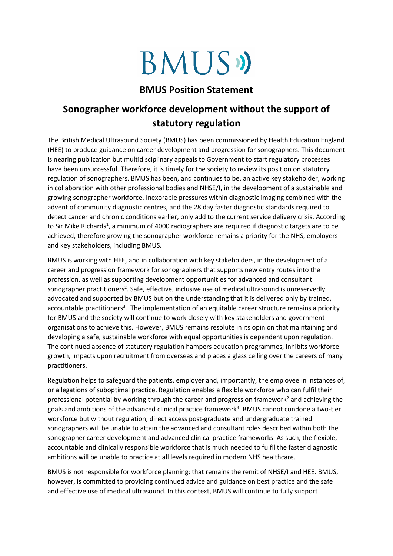## **BMUS**

## **BMUS Position Statement**

## **Sonographer workforce development without the support of statutory regulation**

The British Medical Ultrasound Society (BMUS) has been commissioned by Health Education England (HEE) to produce guidance on career development and progression for sonographers. This document is nearing publication but multidisciplinary appeals to Government to start regulatory processes have been unsuccessful. Therefore, it is timely for the society to review its position on statutory regulation of sonographers. BMUS has been, and continues to be, an active key stakeholder, working in collaboration with other professional bodies and NHSE/I, in the development of a sustainable and growing sonographer workforce. Inexorable pressures within diagnostic imaging combined with the advent of community diagnostic centres, and the 28 day faster diagnostic standards required to detect cancer and chronic conditions earlier, only add to the current service delivery crisis. According to Sir Mike Richards<sup>1</sup>, a minimum of 4000 radiographers are required if diagnostic targets are to be achieved, therefore growing the sonographer workforce remains a priority for the NHS, employers and key stakeholders, including BMUS.

BMUS is working with HEE, and in collaboration with key stakeholders, in the development of a career and progression framework for sonographers that supports new entry routes into the profession, as well as supporting development opportunities for advanced and consultant sonographer practitioners<sup>2</sup>. Safe, effective, inclusive use of medical ultrasound is unreservedly advocated and supported by BMUS but on the understanding that it is delivered only by trained, accountable practitioners<sup>3</sup>. The implementation of an equitable career structure remains a priority for BMUS and the society will continue to work closely with key stakeholders and government organisations to achieve this. However, BMUS remains resolute in its opinion that maintaining and developing a safe, sustainable workforce with equal opportunities is dependent upon regulation. The continued absence of statutory regulation hampers education programmes, inhibits workforce growth, impacts upon recruitment from overseas and places a glass ceiling over the careers of many practitioners.

Regulation helps to safeguard the patients, employer and, importantly, the employee in instances of, or allegations of suboptimal practice. Regulation enables a flexible workforce who can fulfil their professional potential by working through the career and progression framework<sup>2</sup> and achieving the goals and ambitions of the advanced clinical practice framework<sup>4</sup>. BMUS cannot condone a two-tier workforce but without regulation, direct access post-graduate and undergraduate trained sonographers will be unable to attain the advanced and consultant roles described within both the sonographer career development and advanced clinical practice frameworks. As such, the flexible, accountable and clinically responsible workforce that is much needed to fulfil the faster diagnostic ambitions will be unable to practice at all levels required in modern NHS healthcare.

BMUS is not responsible for workforce planning; that remains the remit of NHSE/I and HEE. BMUS, however, is committed to providing continued advice and guidance on best practice and the safe and effective use of medical ultrasound. In this context, BMUS will continue to fully support